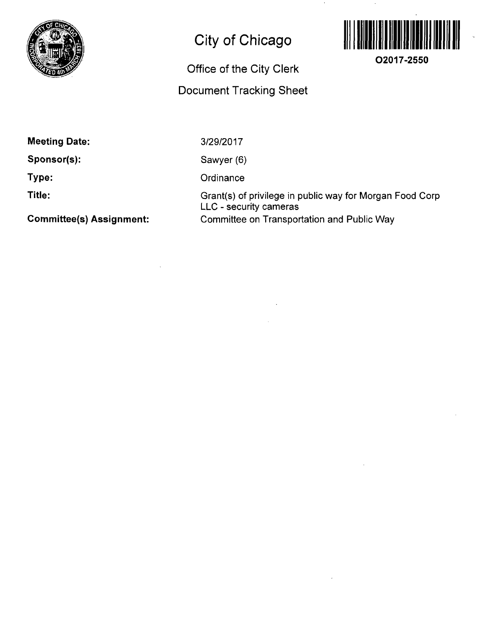

## **City of Chicago**

## **Office of the City Clerk**

## **Document Tracking Sheet**



**O2017-2550** 

**Meeting Date:** 

**Sponsor(s):** 

**Type:** 

**Title:** 

**Comniittee(s) Assignment:** 

3/29/2017

Sawyer (6)

**Ordinance** 

Grant(s) of privilege in public way for Morgan Food Corp LLC - security cameras Committee on Transportation and Public Way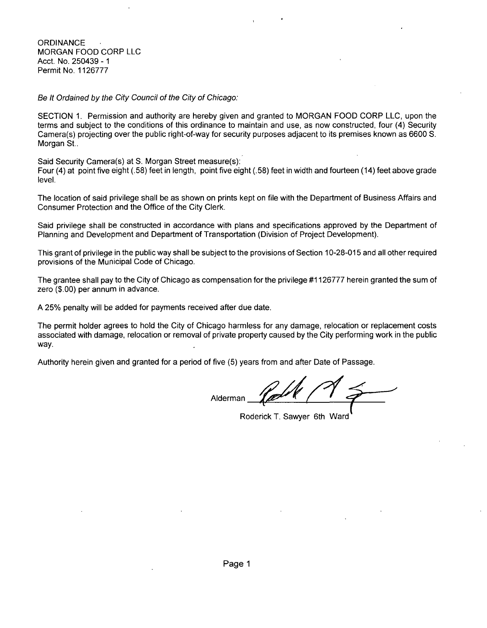Se It Ordained by the City Council of the City of Chicago:

SECTION 1. Permission and authority are hereby given and granted to MORGAN FOOD CORP LLC, upon the terms and subject to the conditions of this ordinance to maintain and use, as now constructed, four (4) Security Camera(s) projecting over the public right-of-way for security purposes adjacent to its premises known as 6600 S. Morgan St..

Said Security Camera(s) at S. Morgan Street measure(s):

Four (4) at point five eight (.58) feet in length, point five eight (.58) feet in width and fourteen (14) feet above grade level.

The location of said privilege shall be as shown on prints kept on file with the Department of Business Affairs and Consumer Protection and the Office of the City Clerk.

Said privilege shall be constructed in accordance with plans and specifications approved by the Department of Planning and Development and Department of Transportation (Division of Project Development).

This grant of privilege in the public way shall be subject to the provisions of Section 10-28-015 and all other required provisions of the Municipal Code of Chicago.

The grantee shall pay to the City of Chicago as compensation for the privilege #1126777 herein granted the sum of zero (\$.00) per annum in advance.

A 25% penalty will be added for payments received after due date.

The permit holder agrees to hold the City of Chicago harmless for any damage, relocation or replacement costs associated with damage, relocation or removal of private property caused by the City performing work in the public way.

Authority herein given and granted for a period of five (5) years from and after Date of Passage.

Alderman

Roderick T. Sawyer 6th Ward"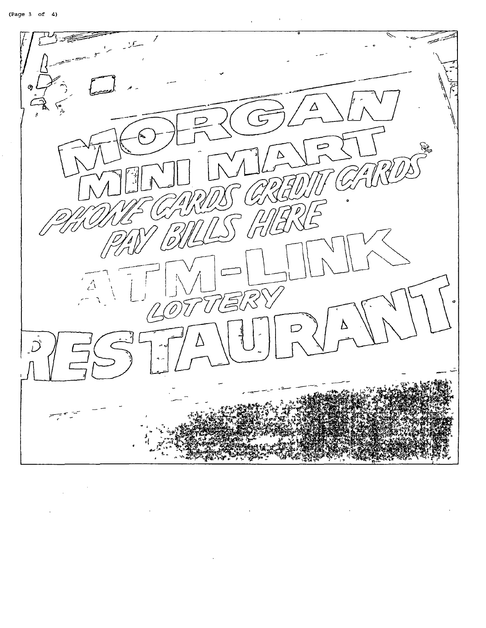

 $\cdot$ 

 $\ddot{\phantom{a}}$